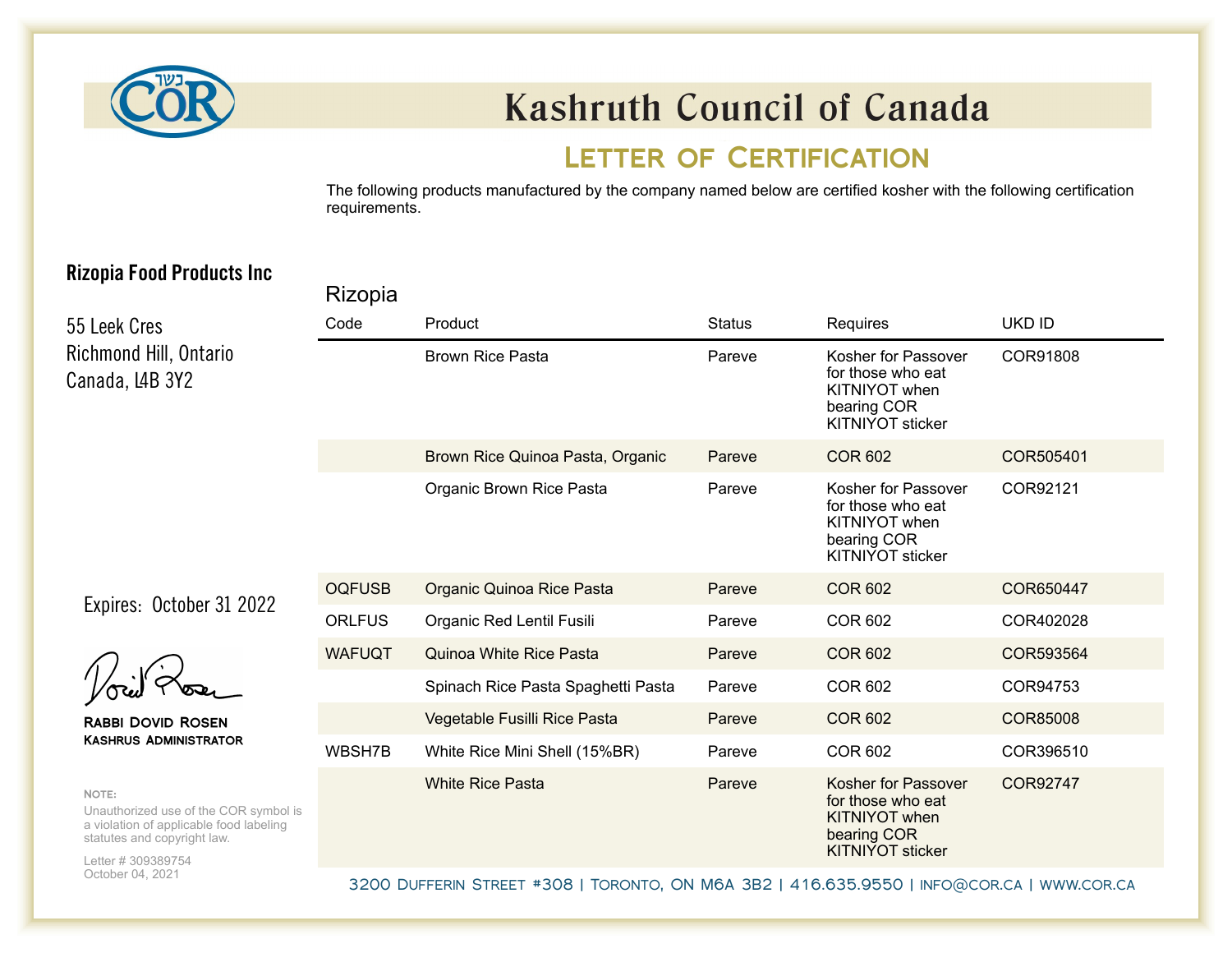

# **Kashruth Council of Canada**

### LETTER OF CERTIFICATION

The following products manufactured by the company named below are certified kosher with the following certification requirements.

#### **Rizopia Food Products Inc**

**Rizopia** 

|                                                                                                                                                | $\sim$        |                                    |               |                                                                                                     |                 |  |  |  |
|------------------------------------------------------------------------------------------------------------------------------------------------|---------------|------------------------------------|---------------|-----------------------------------------------------------------------------------------------------|-----------------|--|--|--|
| 55 Leek Cres                                                                                                                                   | Code          | Product                            | <b>Status</b> | Requires                                                                                            | <b>UKD ID</b>   |  |  |  |
| Richmond Hill, Ontario<br>Canada, L4B 3Y2                                                                                                      |               | <b>Brown Rice Pasta</b>            | Pareve        | Kosher for Passover<br>for those who eat<br>KITNIYOT when<br>bearing COR<br><b>KITNIYOT sticker</b> | COR91808        |  |  |  |
|                                                                                                                                                |               | Brown Rice Quinoa Pasta, Organic   | Pareve        | <b>COR 602</b>                                                                                      | COR505401       |  |  |  |
|                                                                                                                                                |               | Organic Brown Rice Pasta           | Pareve        | Kosher for Passover<br>for those who eat<br>KITNIYOT when<br>bearing COR<br><b>KITNIYOT sticker</b> | COR92121        |  |  |  |
| Expires: October 31 2022                                                                                                                       | <b>OQFUSB</b> | Organic Quinoa Rice Pasta          | Pareve        | <b>COR 602</b>                                                                                      | COR650447       |  |  |  |
|                                                                                                                                                | <b>ORLFUS</b> | Organic Red Lentil Fusili          | Pareve        | <b>COR 602</b>                                                                                      | COR402028       |  |  |  |
|                                                                                                                                                | <b>WAFUQT</b> | <b>Quinoa White Rice Pasta</b>     | Pareve        | <b>COR 602</b>                                                                                      | COR593564       |  |  |  |
|                                                                                                                                                |               | Spinach Rice Pasta Spaghetti Pasta | Pareve        | <b>COR 602</b>                                                                                      | COR94753        |  |  |  |
| <b>RABBI DOVID ROSEN</b><br><b>KASHRUS ADMINISTRATOR</b>                                                                                       |               | Vegetable Fusilli Rice Pasta       | Pareve        | <b>COR 602</b>                                                                                      | <b>COR85008</b> |  |  |  |
|                                                                                                                                                | WBSH7B        | White Rice Mini Shell (15%BR)      | Pareve        | <b>COR 602</b>                                                                                      | COR396510       |  |  |  |
| NOTE:<br>Unauthorized use of the COR symbol is<br>a violation of applicable food labeling<br>statutes and copyright law.<br>Letter # 309389754 |               | <b>White Rice Pasta</b>            | Pareve        | Kosher for Passover<br>for those who eat<br>KITNIYOT when<br>bearing COR<br><b>KITNIYOT sticker</b> | COR92747        |  |  |  |
| October 04, 2021                                                                                                                               |               |                                    |               |                                                                                                     |                 |  |  |  |

3200 Dufferin Street #308 | Toronto, ON M6A 3B2 | 416.635.9550 | [info@cor.ca](mailto:info@cor.ca) |<www.cor.ca>